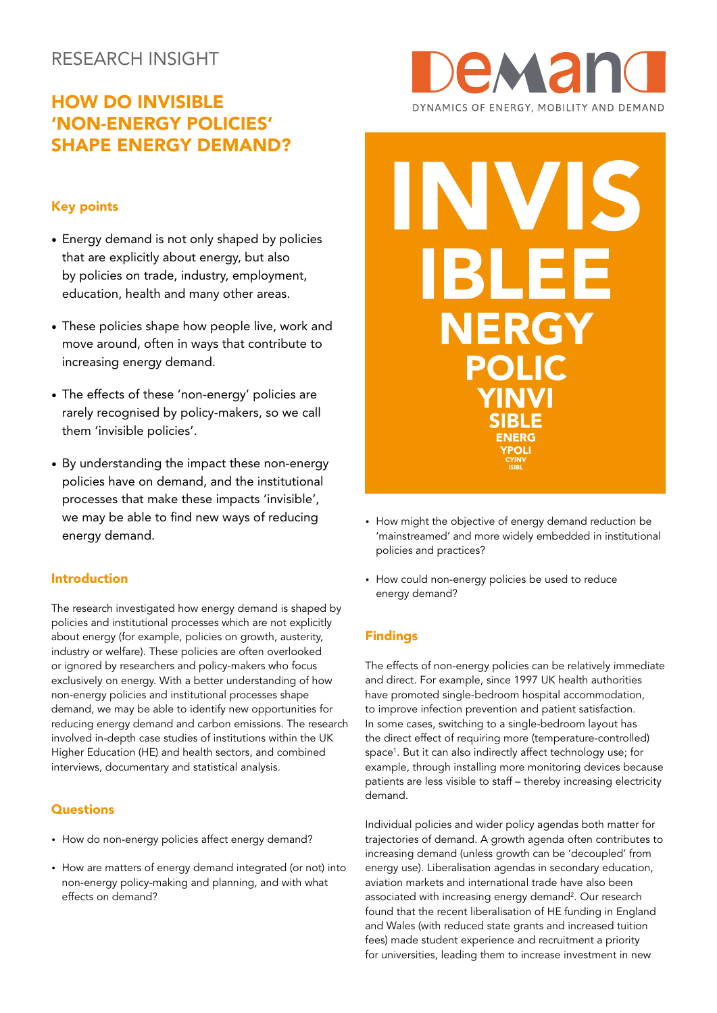# RESEARCH INSIGHT

# HOW DO INVISIBLE 'NON-ENERGY POLICIES' SHAPE ENERGY DEMAND?

## Key points

- Energy demand is not only shaped by policies that are explicitly about energy, but also by policies on trade, industry, employment, education, health and many other areas.
- These policies shape how people live, work and move around, often in ways that contribute to increasing energy demand.
- The effects of these 'non-energy' policies are rarely recognised by policy-makers, so we call them 'invisible policies'.
- By understanding the impact these non-energy policies have on demand, and the institutional processes that make these impacts 'invisible', we may be able to find new ways of reducing energy demand.

## Introduction

The research investigated how energy demand is shaped by policies and institutional processes which are not explicitly about energy (for example, policies on growth, austerity, industry or welfare). These policies are often overlooked or ignored by researchers and policy-makers who focus exclusively on energy. With a better understanding of how non-energy policies and institutional processes shape demand, we may be able to identify new opportunities for reducing energy demand and carbon emissions. The research involved in-depth case studies of institutions within the UK Higher Education (HE) and health sectors, and combined interviews, documentary and statistical analysis.

### **Questions**

- How do non-energy policies affect energy demand?
- How are matters of energy demand integrated (or not) into non-energy policy-making and planning, and with what effects on demand?





- How might the objective of energy demand reduction be 'mainstreamed' and more widely embedded in institutional policies and practices?
- How could non-energy policies be used to reduce energy demand?

## Findings

The effects of non-energy policies can be relatively immediate and direct. For example, since 1997 UK health authorities have promoted single-bedroom hospital accommodation, to improve infection prevention and patient satisfaction. In some cases, switching to a single-bedroom layout has the direct effect of requiring more (temperature-controlled) space<sup>1</sup>. But it can also indirectly affect technology use; for example, through installing more monitoring devices because patients are less visible to staff – thereby increasing electricity demand.

Individual policies and wider policy agendas both matter for trajectories of demand. A growth agenda often contributes to increasing demand (unless growth can be 'decoupled' from energy use). Liberalisation agendas in secondary education, aviation markets and international trade have also been associated with increasing energy demand<sup>2</sup>. Our research found that the recent liberalisation of HE funding in England and Wales (with reduced state grants and increased tuition fees) made student experience and recruitment a priority for universities, leading them to increase investment in new